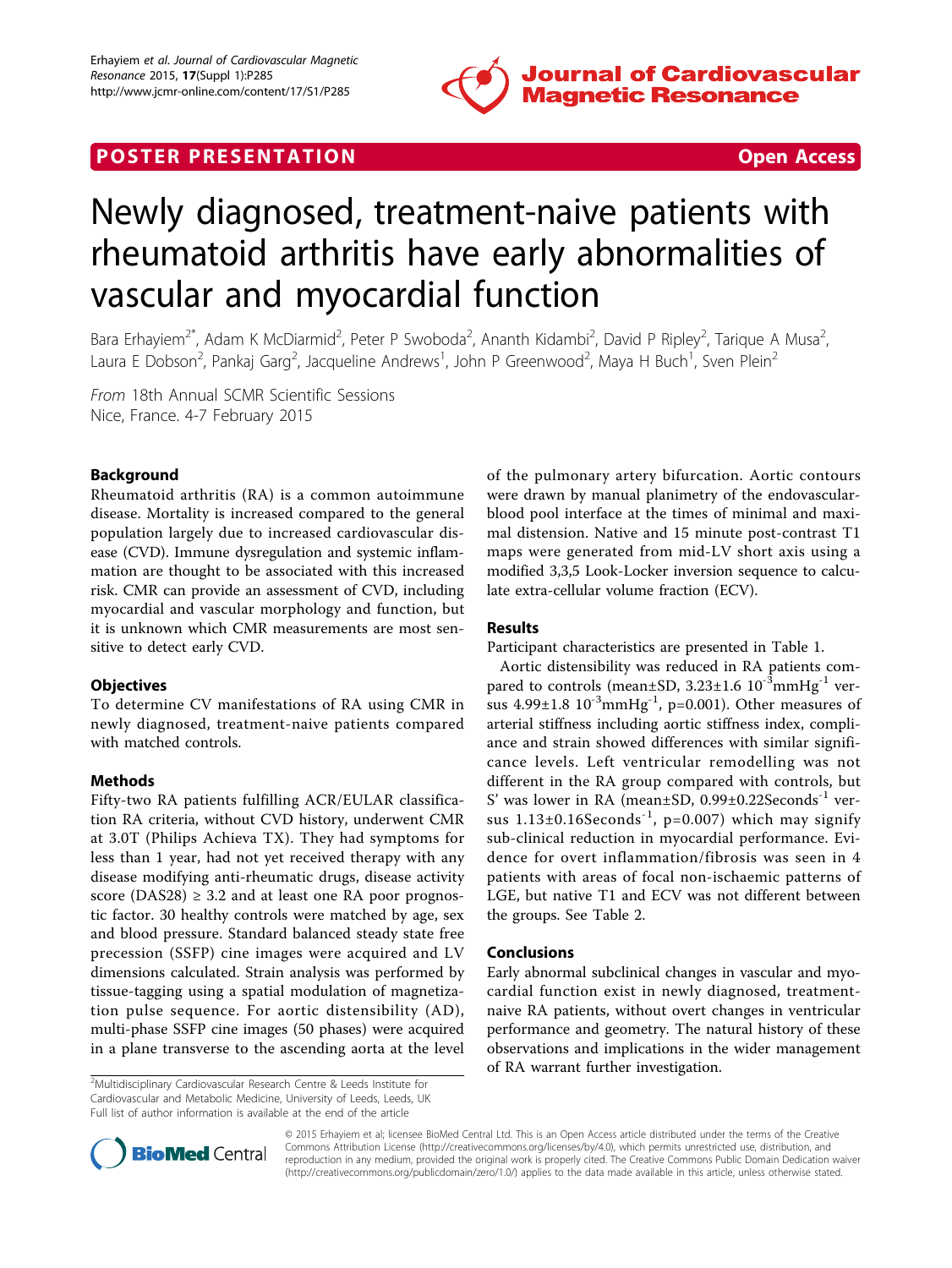

## **POSTER PRESENTATION CONSUMING THE SECOND CONSUMING THE SECOND CONSUMING THE SECOND CONSUMING THE SECOND CONSUMING THE SECOND CONSUMING THE SECOND CONSUMING THE SECOND CONSUMING THE SECOND CONSUMING THE SECOND CONSUMING**



# Newly diagnosed, treatment-naive patients with rheumatoid arthritis have early abnormalities of vascular and myocardial function

Bara Erhayiem<sup>2\*</sup>, Adam K McDiarmid<sup>2</sup>, Peter P Swoboda<sup>2</sup>, Ananth Kidambi<sup>2</sup>, David P Ripley<sup>2</sup>, Tarique A Musa<sup>2</sup> , Laura E Dobson<sup>2</sup>, Pankaj Garg<sup>2</sup>, Jacqueline Andrews<sup>1</sup>, John P Greenwood<sup>2</sup>, Maya H Buch<sup>1</sup>, Sven Plein<sup>2</sup>

From 18th Annual SCMR Scientific Sessions Nice, France. 4-7 February 2015

## Background

Rheumatoid arthritis (RA) is a common autoimmune disease. Mortality is increased compared to the general population largely due to increased cardiovascular disease (CVD). Immune dysregulation and systemic inflammation are thought to be associated with this increased risk. CMR can provide an assessment of CVD, including myocardial and vascular morphology and function, but it is unknown which CMR measurements are most sensitive to detect early CVD.

## **Objectives**

To determine CV manifestations of RA using CMR in newly diagnosed, treatment-naive patients compared with matched controls.

## Methods

Fifty-two RA patients fulfilling ACR/EULAR classification RA criteria, without CVD history, underwent CMR at 3.0T (Philips Achieva TX). They had symptoms for less than 1 year, had not yet received therapy with any disease modifying anti-rheumatic drugs, disease activity score (DAS28)  $\geq$  3.2 and at least one RA poor prognostic factor. 30 healthy controls were matched by age, sex and blood pressure. Standard balanced steady state free precession (SSFP) cine images were acquired and LV dimensions calculated. Strain analysis was performed by tissue-tagging using a spatial modulation of magnetization pulse sequence. For aortic distensibility (AD), multi-phase SSFP cine images (50 phases) were acquired in a plane transverse to the ascending aorta at the level

<sup>2</sup>Multidisciplinary Cardiovascular Research Centre & Leeds Institute for Cardiovascular and Metabolic Medicine, University of Leeds, Leeds, UK Full list of author information is available at the end of the article

of the pulmonary artery bifurcation. Aortic contours were drawn by manual planimetry of the endovascularblood pool interface at the times of minimal and maximal distension. Native and 15 minute post-contrast T1 maps were generated from mid-LV short axis using a modified 3,3,5 Look-Locker inversion sequence to calculate extra-cellular volume fraction (ECV).

## Results

Participant characteristics are presented in Table [1.](#page--1-0)

Aortic distensibility was reduced in RA patients compared to controls (mean±SD,  $3.23\pm1.6$   $10^{-3}$ mmHg<sup>-1</sup> versus  $4.99 \pm 1.8$   $10^{-3}$ mmHg<sup>-1</sup>, p=0.001). Other measures of arterial stiffness including aortic stiffness index, compliance and strain showed differences with similar significance levels. Left ventricular remodelling was not different in the RA group compared with controls, but S' was lower in RA (mean±SD, 0.99±0.22Seconds-1 versus  $1.13\pm0.16$ Seconds<sup>-1</sup>, p=0.007) which may signify sub-clinical reduction in myocardial performance. Evidence for overt inflammation/fibrosis was seen in 4 patients with areas of focal non-ischaemic patterns of LGE, but native T1 and ECV was not different between the groups. See Table [2.](#page--1-0)

## Conclusions

Early abnormal subclinical changes in vascular and myocardial function exist in newly diagnosed, treatmentnaive RA patients, without overt changes in ventricular performance and geometry. The natural history of these observations and implications in the wider management of RA warrant further investigation.



© 2015 Erhayiem et al; licensee BioMed Central Ltd. This is an Open Access article distributed under the terms of the Creative Commons Attribution License [\(http://creativecommons.org/licenses/by/4.0](http://creativecommons.org/licenses/by/4.0)), which permits unrestricted use, distribution, and reproduction in any medium, provided the original work is properly cited. The Creative Commons Public Domain Dedication waiver [\(http://creativecommons.org/publicdomain/zero/1.0/](http://creativecommons.org/publicdomain/zero/1.0/)) applies to the data made available in this article, unless otherwise stated.